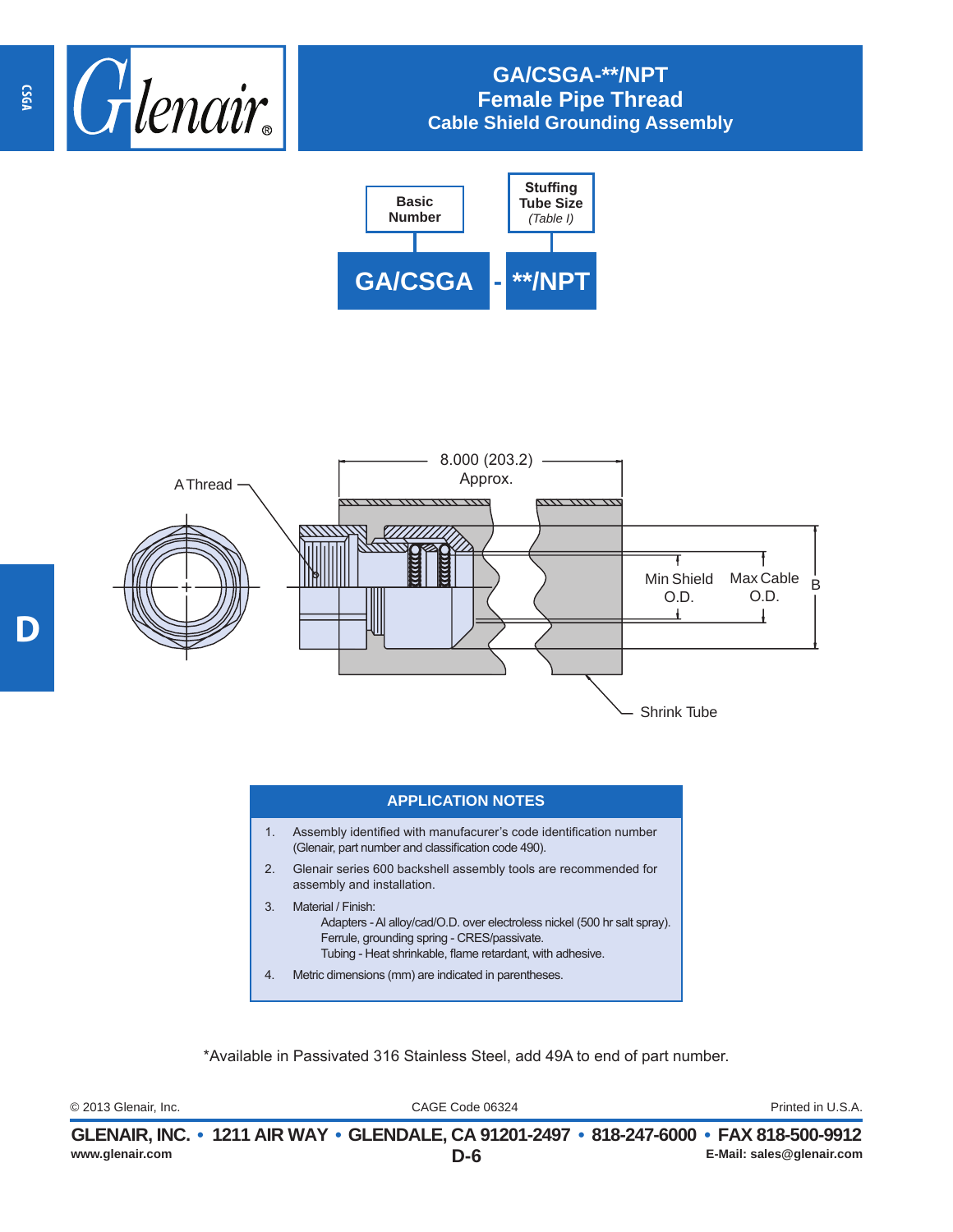

## **GA/CSGA-\*\*/NPT Female Pipe Thread Cable Shield Grounding Assembly**





## **APPLICATION NOTES**

- 1. Assembly identified with manufacurer's code identification number (Glenair, part number and classification code 490).
- 2. Glenair series 600 backshell assembly tools are recommended for assembly and installation.
- 3. Material / Finish: Adapters - Al alloy/cad/O.D. over electroless nickel (500 hr salt spray). Ferrule, grounding spring - CRES/passivate. Tubing - Heat shrinkable, flame retardant, with adhesive.
- 4. Metric dimensions (mm) are indicated in parentheses.

\*Available in Passivated 316 Stainless Steel, add 49A to end of part number.

CAGE Code 06324 © 2013 Glenair, Inc. Printed in U.S.A.

|                 | GLENAIR, INC. • 1211 AIR WAY • GLENDALE, CA 91201-2497 • 818-247-6000 • FAX 818-500-9912 |                           |
|-----------------|------------------------------------------------------------------------------------------|---------------------------|
| www.glenair.com | D-6                                                                                      | E-Mail: sales@glenair.com |